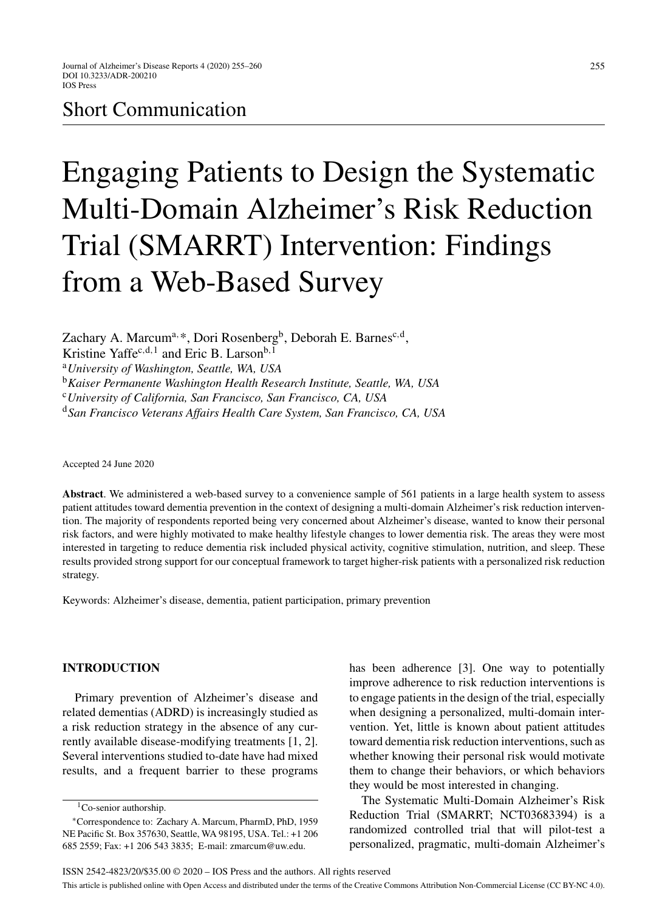# Short Communication

# Engaging Patients to Design the Systematic Multi-Domain Alzheimer's Risk Reduction Trial (SMARRT) Intervention: Findings from a Web-Based Survey

Zachary A. Marcum<sup>a, \*</sup>, Dori Rosenberg<sup>b</sup>, Deborah E. Barnes<sup>c,d</sup>,

Kristine Yaffec,d,1 and Eric B. Larson<sup>b,1</sup>

<sup>a</sup>*University of Washington, Seattle, WA, USA*

<sup>b</sup>*Kaiser Permanente Washington Health Research Institute, Seattle, WA, USA*

<sup>c</sup>*University of California, San Francisco, San Francisco, CA, USA*

<sup>d</sup>*San Francisco Veterans Affairs Health Care System, San Francisco, CA, USA*

Accepted 24 June 2020

**Abstract**. We administered a web-based survey to a convenience sample of 561 patients in a large health system to assess patient attitudes toward dementia prevention in the context of designing a multi-domain Alzheimer's risk reduction intervention. The majority of respondents reported being very concerned about Alzheimer's disease, wanted to know their personal risk factors, and were highly motivated to make healthy lifestyle changes to lower dementia risk. The areas they were most interested in targeting to reduce dementia risk included physical activity, cognitive stimulation, nutrition, and sleep. These results provided strong support for our conceptual framework to target higher-risk patients with a personalized risk reduction strategy.

Keywords: Alzheimer's disease, dementia, patient participation, primary prevention

# **INTRODUCTION**

Primary prevention of Alzheimer's disease and related dementias (ADRD) is increasingly studied as a risk reduction strategy in the absence of any currently available disease-modifying treatments [1, 2]. Several interventions studied to-date have had mixed results, and a frequent barrier to these programs

has been adherence [3]. One way to potentially improve adherence to risk reduction interventions is to engage patients in the design of the trial, especially when designing a personalized, multi-domain intervention. Yet, little is known about patient attitudes toward dementia risk reduction interventions, such as whether knowing their personal risk would motivate them to change their behaviors, or which behaviors they would be most interested in changing.

The Systematic Multi-Domain Alzheimer's Risk Reduction Trial (SMARRT; NCT03683394) is a randomized controlled trial that will pilot-test a personalized, pragmatic, multi-domain Alzheimer's

 ${}^{1}$ Co-senior authorship.

<sup>∗</sup>Correspondence to: Zachary A. Marcum, PharmD, PhD, 1959 NE Pacific St. Box 357630, Seattle, WA 98195, USA. Tel.: +1 206 685 2559; Fax: +1 206 543 3835; E-mail: [zmarcum@uw.edu](mailto:zmarcum@uw.edu).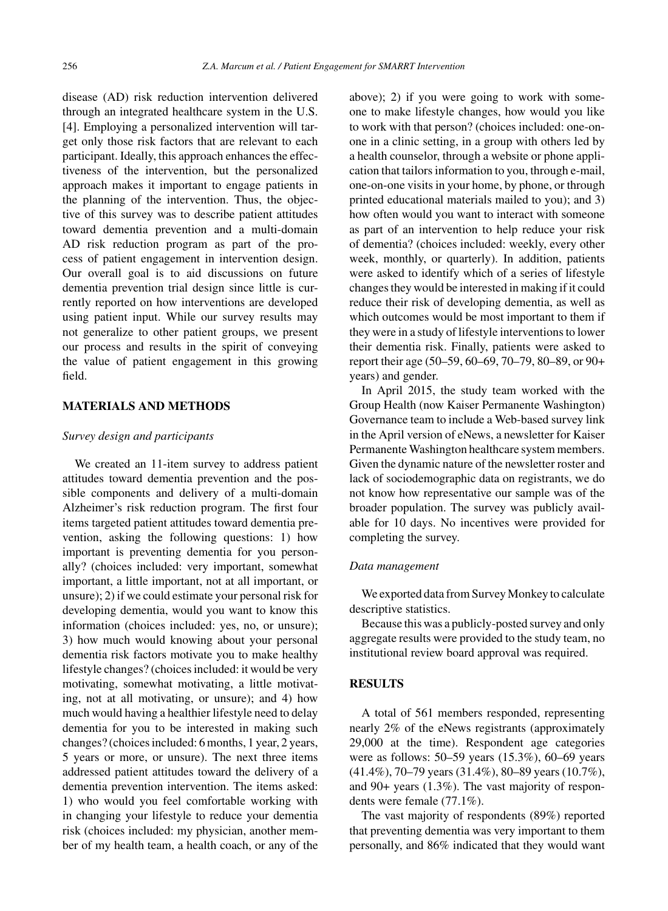disease (AD) risk reduction intervention delivered through an integrated healthcare system in the U.S. [4]. Employing a personalized intervention will target only those risk factors that are relevant to each participant. Ideally, this approach enhances the effectiveness of the intervention, but the personalized approach makes it important to engage patients in the planning of the intervention. Thus, the objective of this survey was to describe patient attitudes toward dementia prevention and a multi-domain AD risk reduction program as part of the process of patient engagement in intervention design. Our overall goal is to aid discussions on future dementia prevention trial design since little is currently reported on how interventions are developed using patient input. While our survey results may not generalize to other patient groups, we present our process and results in the spirit of conveying the value of patient engagement in this growing field.

# **MATERIALS AND METHODS**

#### *Survey design and participants*

We created an 11-item survey to address patient attitudes toward dementia prevention and the possible components and delivery of a multi-domain Alzheimer's risk reduction program. The first four items targeted patient attitudes toward dementia prevention, asking the following questions: 1) how important is preventing dementia for you personally? (choices included: very important, somewhat important, a little important, not at all important, or unsure); 2) if we could estimate your personal risk for developing dementia, would you want to know this information (choices included: yes, no, or unsure); 3) how much would knowing about your personal dementia risk factors motivate you to make healthy lifestyle changes? (choices included: it would be very motivating, somewhat motivating, a little motivating, not at all motivating, or unsure); and 4) how much would having a healthier lifestyle need to delay dementia for you to be interested in making such changes? (choices included: 6 months, 1 year, 2 years, 5 years or more, or unsure). The next three items addressed patient attitudes toward the delivery of a dementia prevention intervention. The items asked: 1) who would you feel comfortable working with in changing your lifestyle to reduce your dementia risk (choices included: my physician, another member of my health team, a health coach, or any of the above); 2) if you were going to work with someone to make lifestyle changes, how would you like to work with that person? (choices included: one-onone in a clinic setting, in a group with others led by a health counselor, through a website or phone application that tailors information to you, through e-mail, one-on-one visits in your home, by phone, or through printed educational materials mailed to you); and 3) how often would you want to interact with someone as part of an intervention to help reduce your risk of dementia? (choices included: weekly, every other week, monthly, or quarterly). In addition, patients were asked to identify which of a series of lifestyle changes they would be interested in making if it could reduce their risk of developing dementia, as well as which outcomes would be most important to them if they were in a study of lifestyle interventions to lower their dementia risk. Finally, patients were asked to report their age (50–59, 60–69, 70–79, 80–89, or 90+ years) and gender.

In April 2015, the study team worked with the Group Health (now Kaiser Permanente Washington) Governance team to include a Web-based survey link in the April version of eNews, a newsletter for Kaiser Permanente Washington healthcare system members. Given the dynamic nature of the newsletter roster and lack of sociodemographic data on registrants, we do not know how representative our sample was of the broader population. The survey was publicly available for 10 days. No incentives were provided for completing the survey.

#### *Data management*

We exported data from Survey Monkey to calculate descriptive statistics.

Because this was a publicly-posted survey and only aggregate results were provided to the study team, no institutional review board approval was required.

## **RESULTS**

A total of 561 members responded, representing nearly 2% of the eNews registrants (approximately 29,000 at the time). Respondent age categories were as follows: 50–59 years (15.3%), 60–69 years (41.4%), 70–79 years (31.4%), 80–89 years (10.7%), and 90+ years (1.3%). The vast majority of respondents were female (77.1%).

The vast majority of respondents (89%) reported that preventing dementia was very important to them personally, and 86% indicated that they would want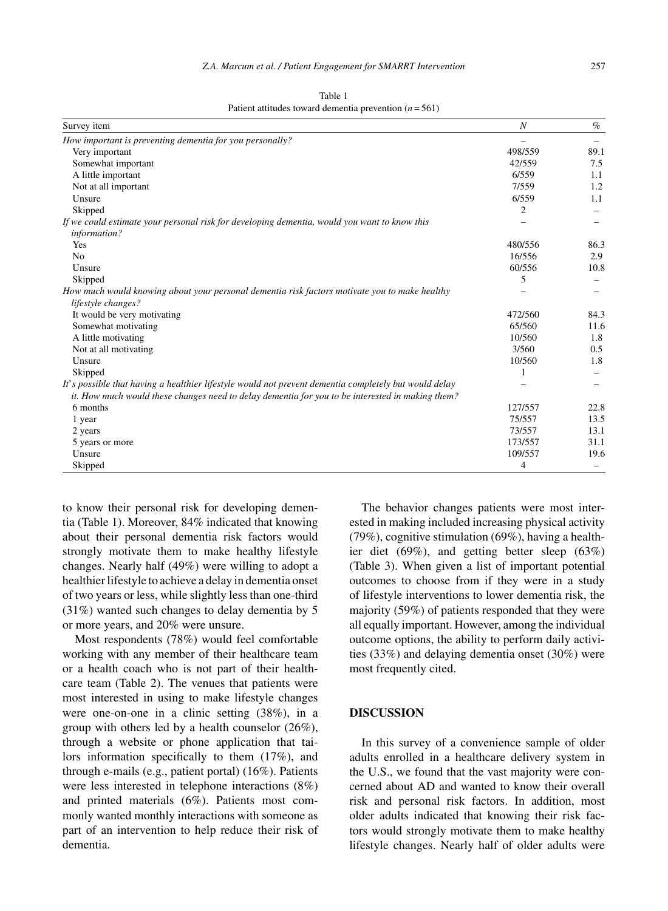| Survey item                                                                                                  | $\boldsymbol{N}$ | $\%$ |
|--------------------------------------------------------------------------------------------------------------|------------------|------|
| How important is preventing dementia for you personally?                                                     |                  |      |
| Very important                                                                                               | 498/559          | 89.1 |
| Somewhat important                                                                                           | 42/559           | 7.5  |
| A little important                                                                                           | 6/559            | 1.1  |
| Not at all important                                                                                         | 7/559            | 1.2  |
| Unsure                                                                                                       | 6/559            | 1.1  |
| Skipped                                                                                                      | 2                |      |
| If we could estimate your personal risk for developing dementia, would you want to know this<br>information? |                  |      |
| Yes                                                                                                          | 480/556          | 86.3 |
| N <sub>0</sub>                                                                                               | 16/556           | 2.9  |
| Unsure                                                                                                       | 60/556           | 10.8 |
| Skipped                                                                                                      | 5                |      |
| How much would knowing about your personal dementia risk factors motivate you to make healthy                |                  |      |
| lifestyle changes?                                                                                           |                  |      |
| It would be very motivating                                                                                  | 472/560          | 84.3 |
| Somewhat motivating                                                                                          | 65/560           | 11.6 |
| A little motivating                                                                                          | 10/560           | 1.8  |
| Not at all motivating                                                                                        | 3/560            | 0.5  |
| Unsure                                                                                                       | 10/560           | 1.8  |
| Skipped                                                                                                      | 1                |      |
| It's possible that having a healthier lifestyle would not prevent dementia completely but would delay        |                  |      |
| it. How much would these changes need to delay dementia for you to be interested in making them?             |                  |      |
| 6 months                                                                                                     | 127/557          | 22.8 |
| 1 year                                                                                                       | 75/557           | 13.5 |
| 2 years                                                                                                      | 73/557           | 13.1 |
| 5 years or more                                                                                              | 173/557          | 31.1 |
| Unsure                                                                                                       | 109/557          | 19.6 |
| Skipped                                                                                                      | 4                |      |

Table 1 Patient attitudes toward dementia prevention  $(n = 561)$ 

to know their personal risk for developing dementia (Table 1). Moreover, 84% indicated that knowing about their personal dementia risk factors would strongly motivate them to make healthy lifestyle changes. Nearly half (49%) were willing to adopt a healthier lifestyle to achieve a delay in dementia onset of two years or less, while slightly less than one-third (31%) wanted such changes to delay dementia by 5 or more years, and 20% were unsure.

Most respondents (78%) would feel comfortable working with any member of their healthcare team or a health coach who is not part of their healthcare team (Table 2). The venues that patients were most interested in using to make lifestyle changes were one-on-one in a clinic setting (38%), in a group with others led by a health counselor (26%), through a website or phone application that tailors information specifically to them (17%), and through e-mails (e.g., patient portal) (16%). Patients were less interested in telephone interactions (8%) and printed materials (6%). Patients most commonly wanted monthly interactions with someone as part of an intervention to help reduce their risk of dementia.

The behavior changes patients were most interested in making included increasing physical activity (79%), cognitive stimulation (69%), having a healthier diet (69%), and getting better sleep (63%) (Table 3). When given a list of important potential outcomes to choose from if they were in a study of lifestyle interventions to lower dementia risk, the majority (59%) of patients responded that they were all equally important. However, among the individual outcome options, the ability to perform daily activities (33%) and delaying dementia onset (30%) were most frequently cited.

#### **DISCUSSION**

In this survey of a convenience sample of older adults enrolled in a healthcare delivery system in the U.S., we found that the vast majority were concerned about AD and wanted to know their overall risk and personal risk factors. In addition, most older adults indicated that knowing their risk factors would strongly motivate them to make healthy lifestyle changes. Nearly half of older adults were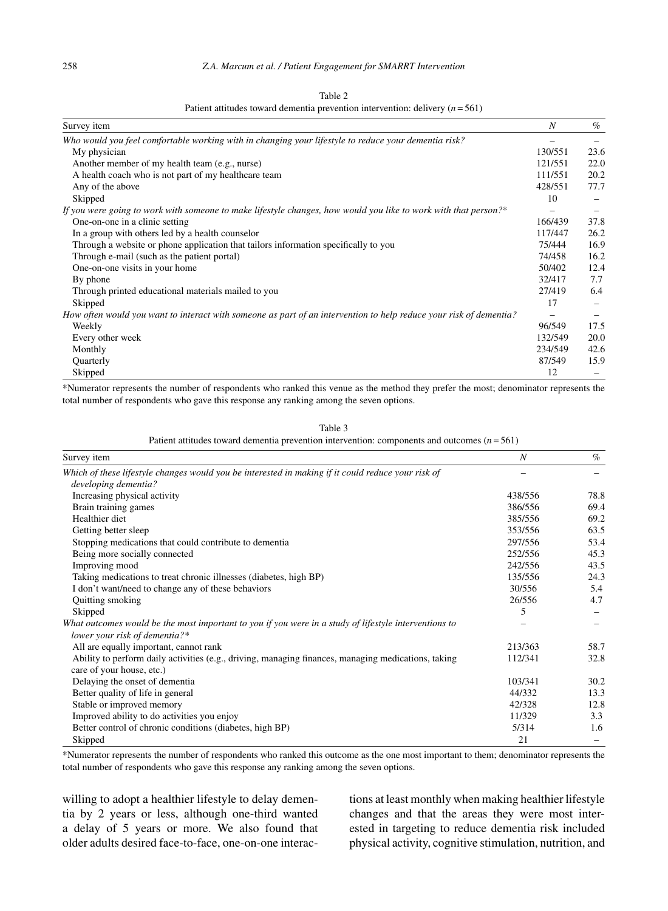| Survey item                                                                                                        | N                        | $\%$ |
|--------------------------------------------------------------------------------------------------------------------|--------------------------|------|
| Who would you feel comfortable working with in changing your lifestyle to reduce your dementia risk?               |                          |      |
| My physician                                                                                                       | 130/551                  | 23.6 |
| Another member of my health team (e.g., nurse)                                                                     | 121/551                  | 22.0 |
| A health coach who is not part of my healthcare team                                                               | 111/551                  | 20.2 |
| Any of the above                                                                                                   | 428/551                  | 77.7 |
| Skipped                                                                                                            | 10                       |      |
| If you were going to work with someone to make lifestyle changes, how would you like to work with that person?*    |                          |      |
| One-on-one in a clinic setting                                                                                     | 166/439                  | 37.8 |
| In a group with others led by a health counselor                                                                   | 117/447                  | 26.2 |
| Through a website or phone application that tailors information specifically to you                                | 75/444                   | 16.9 |
| Through e-mail (such as the patient portal)                                                                        | 74/458                   | 16.2 |
| One-on-one visits in your home                                                                                     | 50/402                   | 12.4 |
| By phone                                                                                                           | 32/417                   | 7.7  |
| Through printed educational materials mailed to you                                                                | 27/419                   | 6.4  |
| Skipped                                                                                                            | 17                       |      |
| How often would you want to interact with someone as part of an intervention to help reduce your risk of dementia? | $\overline{\phantom{0}}$ |      |
| Weekly                                                                                                             | 96/549                   | 17.5 |
| Every other week                                                                                                   | 132/549                  | 20.0 |
| Monthly                                                                                                            | 234/549                  | 42.6 |
| Quarterly                                                                                                          | 87/549                   | 15.9 |
| Skipped                                                                                                            | 12                       |      |

Table 2 Patient attitudes toward dementia prevention intervention: delivery  $(n = 561)$ 

\*Numerator represents the number of respondents who ranked this venue as the method they prefer the most; denominator represents the total number of respondents who gave this response any ranking among the seven options.

| Table 3                                                                                      |
|----------------------------------------------------------------------------------------------|
| Patient attitudes toward dementia prevention intervention: components and outcomes $(n=561)$ |

| Survey item                                                                                           | N       | $\%$ |
|-------------------------------------------------------------------------------------------------------|---------|------|
| Which of these lifestyle changes would you be interested in making if it could reduce your risk of    |         |      |
| developing dementia?                                                                                  |         |      |
| Increasing physical activity                                                                          | 438/556 | 78.8 |
| Brain training games                                                                                  | 386/556 | 69.4 |
| Healthier diet                                                                                        | 385/556 | 69.2 |
| Getting better sleep                                                                                  | 353/556 | 63.5 |
| Stopping medications that could contribute to dementia                                                | 297/556 | 53.4 |
| Being more socially connected                                                                         | 252/556 | 45.3 |
| Improving mood                                                                                        | 242/556 | 43.5 |
| Taking medications to treat chronic illnesses (diabetes, high BP)                                     | 135/556 | 24.3 |
| I don't want/need to change any of these behaviors                                                    | 30/556  | 5.4  |
| Quitting smoking                                                                                      | 26/556  | 4.7  |
| Skipped                                                                                               | 5       |      |
| What outcomes would be the most important to you if you were in a study of lifestyle interventions to |         |      |
| lower your risk of dementia?*                                                                         |         |      |
| All are equally important, cannot rank                                                                | 213/363 | 58.7 |
| Ability to perform daily activities (e.g., driving, managing finances, managing medications, taking   | 112/341 | 32.8 |
| care of your house, etc.)                                                                             |         |      |
| Delaying the onset of dementia                                                                        | 103/341 | 30.2 |
| Better quality of life in general                                                                     | 44/332  | 13.3 |
| Stable or improved memory                                                                             | 42/328  | 12.8 |
| Improved ability to do activities you enjoy                                                           | 11/329  | 3.3  |
| Better control of chronic conditions (diabetes, high BP)                                              | 5/314   | 1.6  |
| Skipped                                                                                               | 21      |      |

\*Numerator represents the number of respondents who ranked this outcome as the one most important to them; denominator represents the total number of respondents who gave this response any ranking among the seven options.

willing to adopt a healthier lifestyle to delay dementia by 2 years or less, although one-third wanted a delay of 5 years or more. We also found that older adults desired face-to-face, one-on-one interac-

tions at least monthly when making healthier lifestyle changes and that the areas they were most interested in targeting to reduce dementia risk included physical activity, cognitive stimulation, nutrition, and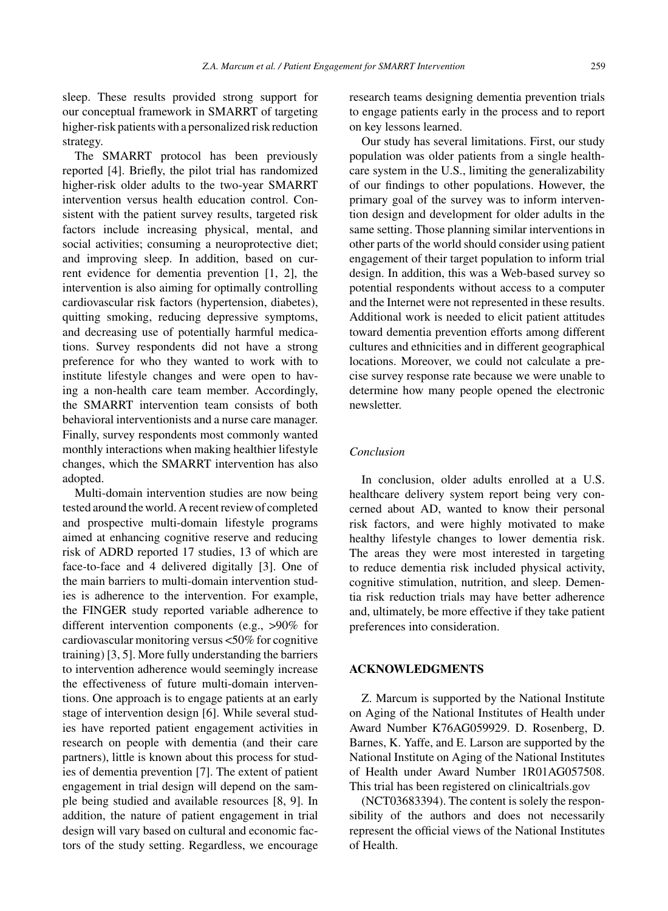sleep. These results provided strong support for our conceptual framework in SMARRT of targeting higher-risk patients with a personalized risk reduction strategy.

The SMARRT protocol has been previously reported [4]. Briefly, the pilot trial has randomized higher-risk older adults to the two-year SMARRT intervention versus health education control. Consistent with the patient survey results, targeted risk factors include increasing physical, mental, and social activities; consuming a neuroprotective diet; and improving sleep. In addition, based on current evidence for dementia prevention [1, 2], the intervention is also aiming for optimally controlling cardiovascular risk factors (hypertension, diabetes), quitting smoking, reducing depressive symptoms, and decreasing use of potentially harmful medications. Survey respondents did not have a strong preference for who they wanted to work with to institute lifestyle changes and were open to having a non-health care team member. Accordingly, the SMARRT intervention team consists of both behavioral interventionists and a nurse care manager. Finally, survey respondents most commonly wanted monthly interactions when making healthier lifestyle changes, which the SMARRT intervention has also adopted.

Multi-domain intervention studies are now being tested around the world. A recent review of completed and prospective multi-domain lifestyle programs aimed at enhancing cognitive reserve and reducing risk of ADRD reported 17 studies, 13 of which are face-to-face and 4 delivered digitally [3]. One of the main barriers to multi-domain intervention studies is adherence to the intervention. For example, the FINGER study reported variable adherence to different intervention components (e.g., >90% for cardiovascular monitoring versus <50% for cognitive training) [3, 5]. More fully understanding the barriers to intervention adherence would seemingly increase the effectiveness of future multi-domain interventions. One approach is to engage patients at an early stage of intervention design [6]. While several studies have reported patient engagement activities in research on people with dementia (and their care partners), little is known about this process for studies of dementia prevention [7]. The extent of patient engagement in trial design will depend on the sample being studied and available resources [8, 9]. In addition, the nature of patient engagement in trial design will vary based on cultural and economic factors of the study setting. Regardless, we encourage

research teams designing dementia prevention trials to engage patients early in the process and to report on key lessons learned.

Our study has several limitations. First, our study population was older patients from a single healthcare system in the U.S., limiting the generalizability of our findings to other populations. However, the primary goal of the survey was to inform intervention design and development for older adults in the same setting. Those planning similar interventions in other parts of the world should consider using patient engagement of their target population to inform trial design. In addition, this was a Web-based survey so potential respondents without access to a computer and the Internet were not represented in these results. Additional work is needed to elicit patient attitudes toward dementia prevention efforts among different cultures and ethnicities and in different geographical locations. Moreover, we could not calculate a precise survey response rate because we were unable to determine how many people opened the electronic newsletter.

#### *Conclusion*

In conclusion, older adults enrolled at a U.S. healthcare delivery system report being very concerned about AD, wanted to know their personal risk factors, and were highly motivated to make healthy lifestyle changes to lower dementia risk. The areas they were most interested in targeting to reduce dementia risk included physical activity, cognitive stimulation, nutrition, and sleep. Dementia risk reduction trials may have better adherence and, ultimately, be more effective if they take patient preferences into consideration.

## **ACKNOWLEDGMENTS**

Z. Marcum is supported by the National Institute on Aging of the National Institutes of Health under Award Number K76AG059929. D. Rosenberg, D. Barnes, K. Yaffe, and E. Larson are supported by the National Institute on Aging of the National Institutes of Health under Award Number 1R01AG057508. This trial has been registered on clinicaltrials.gov

(NCT03683394). The content is solely the responsibility of the authors and does not necessarily represent the official views of the National Institutes of Health.